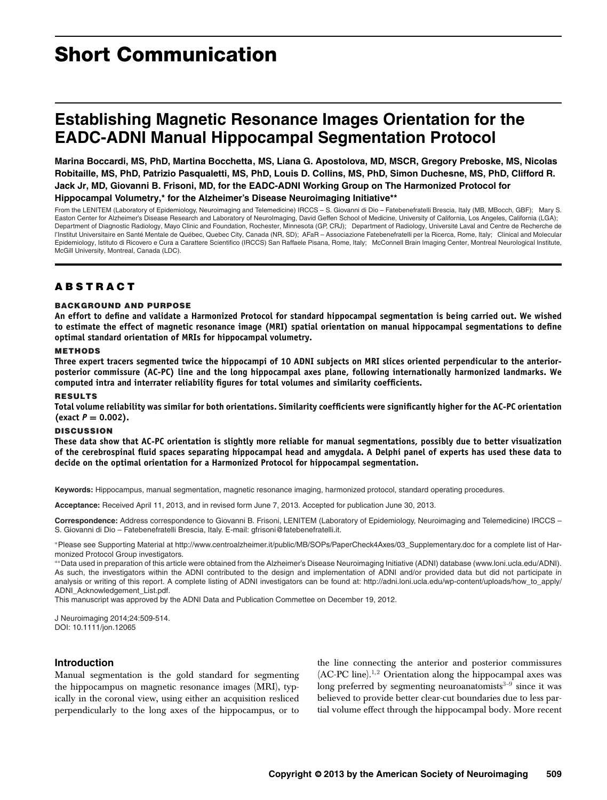# **Short Communication**

# **Establishing Magnetic Resonance Images Orientation for the EADC-ADNI Manual Hippocampal Segmentation Protocol**

**Marina Boccardi, MS, PhD, Martina Bocchetta, MS, Liana G. Apostolova, MD, MSCR, Gregory Preboske, MS, Nicolas Robitaille, MS, PhD, Patrizio Pasqualetti, MS, PhD, Louis D. Collins, MS, PhD, Simon Duchesne, MS, PhD, Clifford R. Jack Jr, MD, Giovanni B. Frisoni, MD, for the EADC-ADNI Working Group on The Harmonized Protocol for Hippocampal Volumetry,\* for the Alzheimer's Disease Neuroimaging Initiative\*\***

From the LENITEM (Laboratory of Epidemiology, Neuroimaging and Telemedicine) IRCCS – S. Giovanni di Dio – Fatebenefratelli Brescia, Italy (MB, MBocch, GBF); Mary S. Easton Center for Alzheimer's Disease Research and Laboratory of NeuroImaging, David Geffen School of Medicine, University of California, Los Angeles, California (LGA); Department of Diagnostic Radiology, Mayo Clinic and Foundation, Rochester, Minnesota (GP, CRJ); Department of Radiology, Université Laval and Centre de Recherche de l'Institut Universitaire en Santé Mentale de Québec, Quebec City, Canada (NR, SD); AFaR - Associazione Fatebenefratelli per la Ricerca, Rome, Italy; Clinical and Molecular Epidemiology, Istituto di Ricovero e Cura a Carattere Scientifico (IRCCS) San Raffaele Pisana, Rome, Italy; McConnell Brain Imaging Center, Montreal Neurological Institute, McGill University, Montreal, Canada (LDC).

# **ABSTRACT**

#### **BACKGROUND AND PURPOSE**

**An effort to define and validate a Harmonized Protocol for standard hippocampal segmentation is being carried out. We wished to estimate the effect of magnetic resonance image (MRI) spatial orientation on manual hippocampal segmentations to define optimal standard orientation of MRIs for hippocampal volumetry.**

#### **METHODS**

**Three expert tracers segmented twice the hippocampi of 10 ADNI subjects on MRI slices oriented perpendicular to the anteriorposterior commissure (AC-PC) line and the long hippocampal axes plane, following internationally harmonized landmarks. We computed intra and interrater reliability figures for total volumes and similarity coefficients.**

#### **RESULTS**

**Total volume reliability was similar for both orientations. Similarity coefficients were significantly higher for the AC-PC orientation (exact** *P* **= 0.002).**

#### **DISCUSSION**

**These data show that AC-PC orientation is slightly more reliable for manual segmentations, possibly due to better visualization of the cerebrospinal fluid spaces separating hippocampal head and amygdala. A Delphi panel of experts has used these data to decide on the optimal orientation for a Harmonized Protocol for hippocampal segmentation.**

**Keywords:** Hippocampus, manual segmentation, magnetic resonance imaging, harmonized protocol, standard operating procedures.

**Acceptance:** Received April 11, 2013, and in revised form June 7, 2013. Accepted for publication June 30, 2013.

**Correspondence:** Address correspondence to Giovanni B. Frisoni, LENITEM (Laboratory of Epidemiology, Neuroimaging and Telemedicine) IRCCS – S. Giovanni di Dio – Fatebenefratelli Brescia, Italy. E-mail: gfrisoni@fatebenefratelli.it.

∗Please see Supporting Material at http://www.centroalzheimer.it/public/MB/SOPs/PaperCheck4Axes/03\_Supplementary.doc for a complete list of Harmonized Protocol Group investigators.

∗∗Data used in preparation of this article were obtained from the Alzheimer's Disease Neuroimaging Initiative (ADNI) database (www.loni.ucla.edu/ADNI). As such, the investigators within the ADNI contributed to the design and implementation of ADNI and/or provided data but did not participate in analysis or writing of this report. A complete listing of ADNI investigators can be found at: http://adni.loni.ucla.edu/wp-content/uploads/how\_to\_apply/ ADNI\_Acknowledgement\_List.pdf.

This manuscript was approved by the ADNI Data and Publication Commettee on December 19, 2012.

J Neuroimaging 2014;24:509-514. DOI: 10.1111/jon.12065

#### **Introduction**

Manual segmentation is the gold standard for segmenting the hippocampus on magnetic resonance images (MRI), typically in the coronal view, using either an acquisition resliced perpendicularly to the long axes of the hippocampus, or to

the line connecting the anterior and posterior commissures  $(AC-PC$  line).<sup>1,2</sup> Orientation along the hippocampal axes was long preferred by segmenting neuroanatomists $3-9$  since it was believed to provide better clear-cut boundaries due to less partial volume effect through the hippocampal body. More recent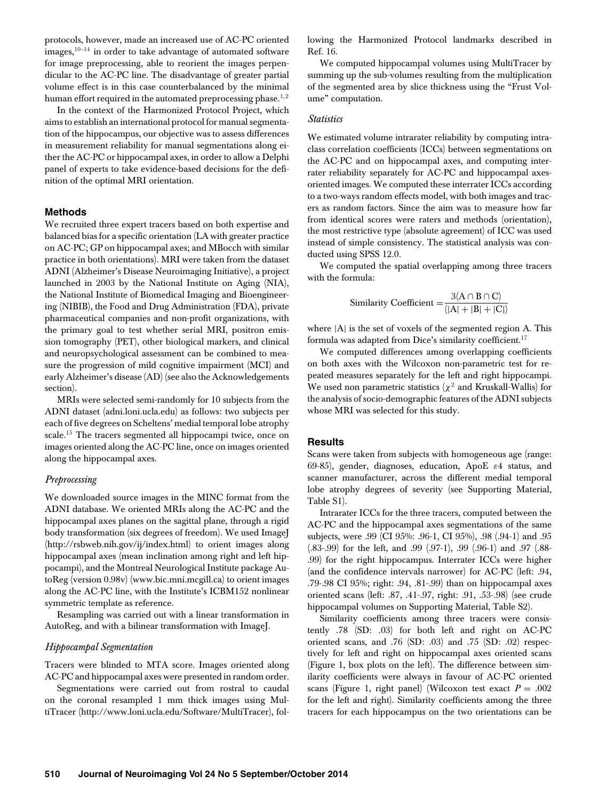protocols, however, made an increased use of AC-PC oriented  $\frac{1}{2}$ images,<sup>10–14</sup> in order to take advantage of automated software for image preprocessing, able to reorient the images perpendicular to the AC-PC line. The disadvantage of greater partial volume effect is in this case counterbalanced by the minimal human effort required in the automated preprocessing phase.<sup>1,2</sup>

In the context of the Harmonized Protocol Project, which aims to establish an international protocol for manual segmentation of the hippocampus, our objective was to assess differences in measurement reliability for manual segmentations along either the AC-PC or hippocampal axes, in order to allow a Delphi panel of experts to take evidence-based decisions for the definition of the optimal MRI orientation.

#### **Methods**

We recruited three expert tracers based on both expertise and balanced bias for a specific orientation (LA with greater practice on AC-PC; GP on hippocampal axes; and MBocch with similar practice in both orientations). MRI were taken from the dataset ADNI (Alzheimer's Disease Neuroimaging Initiative), a project launched in 2003 by the National Institute on Aging (NIA), the National Institute of Biomedical Imaging and Bioengineering (NIBIB), the Food and Drug Administration (FDA), private pharmaceutical companies and non-profit organizations, with the primary goal to test whether serial MRI, positron emission tomography (PET), other biological markers, and clinical and neuropsychological assessment can be combined to measure the progression of mild cognitive impairment (MCI) and early Alzheimer's disease (AD) (see also the Acknowledgements section).

MRIs were selected semi-randomly for 10 subjects from the ADNI dataset (adni.loni.ucla.edu) as follows: two subjects per each of five degrees on Scheltens' medial temporal lobe atrophy scale.<sup>15</sup> The tracers segmented all hippocampi twice, once on images oriented along the AC-PC line, once on images oriented along the hippocampal axes.

#### *Preprocessing*

We downloaded source images in the MINC format from the ADNI database. We oriented MRIs along the AC-PC and the hippocampal axes planes on the sagittal plane, through a rigid body transformation (six degrees of freedom). We used ImageJ (http://rsbweb.nih.gov/ij/index.html) to orient images along hippocampal axes (mean inclination among right and left hippocampi), and the Montreal Neurological Institute package AutoReg (version 0.98v) (www.bic.mni.mcgill.ca) to orient images along the AC-PC line, with the Institute's ICBM152 nonlinear symmetric template as reference.

Resampling was carried out with a linear transformation in AutoReg, and with a bilinear transformation with ImageJ.

# *Hippocampal Segmentation*

Tracers were blinded to MTA score. Images oriented along AC-PC and hippocampal axes were presented in random order.

Segmentations were carried out from rostral to caudal on the coronal resampled 1 mm thick images using MultiTracer (http://www.loni.ucla.edu/Software/MultiTracer), following the Harmonized Protocol landmarks described in Ref. 16.

We computed hippocampal volumes using MultiTracer by summing up the sub-volumes resulting from the multiplication of the segmented area by slice thickness using the "Frust Volume" computation.

#### *Statistics*

We estimated volume intrarater reliability by computing intraclass correlation coefficients (ICCs) between segmentations on the AC-PC and on hippocampal axes, and computing interrater reliability separately for AC-PC and hippocampal axesoriented images. We computed these interrater ICCs according to a two-ways random effects model, with both images and tracers as random factors. Since the aim was to measure how far from identical scores were raters and methods (orientation), the most restrictive type (absolute agreement) of ICC was used instead of simple consistency. The statistical analysis was conducted using SPSS 12.0.

We computed the spatial overlapping among three tracers with the formula:

$$
Similarity Coefficient = \frac{3(A \cap B \cap C)}{(|A| + |B| + |C|)}
$$

where  $|A|$  is the set of voxels of the segmented region A. This formula was adapted from Dice's similarity coefficient.<sup>17</sup>

We computed differences among overlapping coefficients on both axes with the Wilcoxon non-parametric test for repeated measures separately for the left and right hippocampi. We used non parametric statistics ( $\chi^2$  and Kruskall-Wallis) for the analysis of socio-demographic features of the ADNI subjects whose MRI was selected for this study.

#### **Results**

Scans were taken from subjects with homogeneous age (range: 69-85), gender, diagnoses, education, ApoE  $\varepsilon$ 4 status, and scanner manufacturer, across the different medial temporal lobe atrophy degrees of severity (see Supporting Material, Table S1).

Intrarater ICCs for the three tracers, computed between the AC-PC and the hippocampal axes segmentations of the same subjects, were .99 (CI 95%: .96-1, CI 95%), .98 (.94-1) and .95 (.83-.99) for the left, and .99 (.97-1), .99 (.96-1) and .97 (.88- .99) for the right hippocampus. Interrater ICCs were higher (and the confidence intervals narrower) for AC-PC (left: .94, .79-.98 CI 95%; right: .94, .81-.99) than on hippocampal axes oriented scans (left: .87, .41-.97, right: .91, .53-.98) (see crude hippocampal volumes on Supporting Material, Table S2).

Similarity coefficients among three tracers were consistently .78 (SD: .03) for both left and right on AC-PC oriented scans, and .76 (SD: .03) and .75 (SD: .02) respectively for left and right on hippocampal axes oriented scans (Figure 1, box plots on the left). The difference between similarity coefficients were always in favour of AC-PC oriented scans (Figure 1, right panel) (Wilcoxon test exact  $P = .002$ for the left and right). Similarity coefficients among the three tracers for each hippocampus on the two orientations can be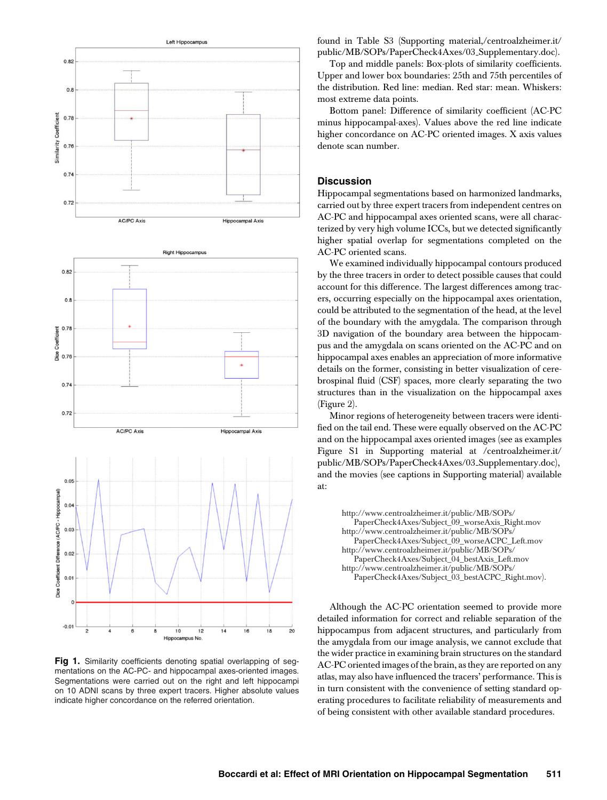

Fig 1. Similarity coefficients denoting spatial overlapping of segmentations on the AC-PC- and hippocampal axes-oriented images. Segmentations were carried out on the right and left hippocampi on 10 ADNI scans by three expert tracers. Higher absolute values indicate higher concordance on the referred orientation.

found in Table S3 (Supporting material,/centroalzheimer.it/ public/MB/SOPs/PaperCheck4Axes/03 Supplementary.doc).

Top and middle panels: Box-plots of similarity coefficients. Upper and lower box boundaries: 25th and 75th percentiles of the distribution. Red line: median. Red star: mean. Whiskers: most extreme data points.

Bottom panel: Difference of similarity coefficient (AC-PC minus hippocampal-axes). Values above the red line indicate higher concordance on AC-PC oriented images. X axis values denote scan number.

# **Discussion**

Hippocampal segmentations based on harmonized landmarks, carried out by three expert tracers from independent centres on AC-PC and hippocampal axes oriented scans, were all characterized by very high volume ICCs, but we detected significantly higher spatial overlap for segmentations completed on the AC-PC oriented scans.

We examined individually hippocampal contours produced by the three tracers in order to detect possible causes that could account for this difference. The largest differences among tracers, occurring especially on the hippocampal axes orientation, could be attributed to the segmentation of the head, at the level of the boundary with the amygdala. The comparison through 3D navigation of the boundary area between the hippocampus and the amygdala on scans oriented on the AC-PC and on hippocampal axes enables an appreciation of more informative details on the former, consisting in better visualization of cerebrospinal fluid (CSF) spaces, more clearly separating the two structures than in the visualization on the hippocampal axes (Figure 2).

Minor regions of heterogeneity between tracers were identified on the tail end. These were equally observed on the AC-PC and on the hippocampal axes oriented images (see as examples Figure S1 in Supporting material at /centroalzheimer.it/ public/MB/SOPs/PaperCheck4Axes/03 Supplementary.doc), and the movies (see captions in Supporting material) available at:

http://www.centroalzheimer.it/public/MB/SOPs/ PaperCheck4Axes/Subject\_09\_worseAxis\_Right.mov http://www.centroalzheimer.it/public/MB/SOPs/ PaperCheck4Axes/Subject\_09\_worseACPC\_Left.mov http://www.centroalzheimer.it/public/MB/SOPs/ PaperCheck4Axes/Subject\_04\_bestAxis\_Left.mov http://www.centroalzheimer.it/public/MB/SOPs/ PaperCheck4Axes/Subject\_03\_bestACPC\_Right.mov).

Although the AC-PC orientation seemed to provide more detailed information for correct and reliable separation of the hippocampus from adjacent structures, and particularly from the amygdala from our image analysis, we cannot exclude that the wider practice in examining brain structures on the standard AC-PC oriented images of the brain, as they are reported on any atlas, may also have influenced the tracers' performance. This is in turn consistent with the convenience of setting standard operating procedures to facilitate reliability of measurements and of being consistent with other available standard procedures.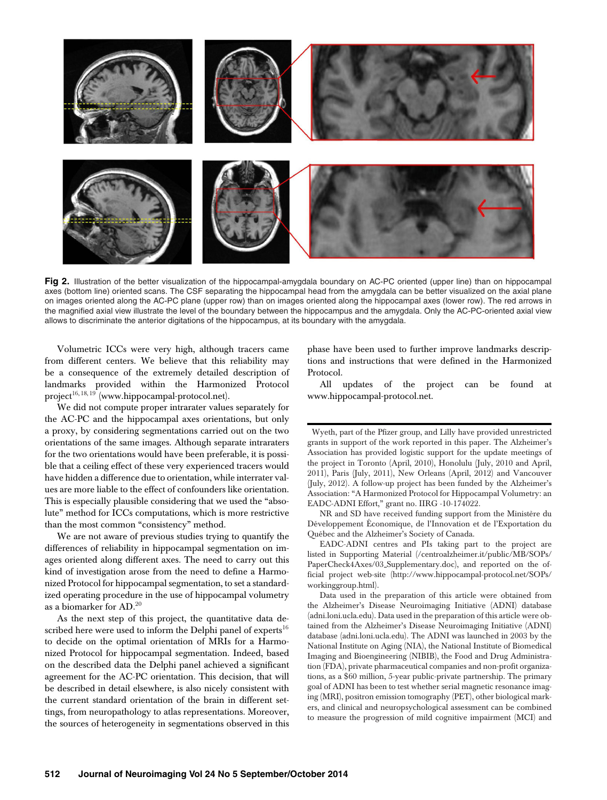

Fig 2. Illustration of the better visualization of the hippocampal-amygdala boundary on AC-PC oriented (upper line) than on hippocampal axes (bottom line) oriented scans. The CSF separating the hippocampal head from the amygdala can be better visualized on the axial plane on images oriented along the AC-PC plane (upper row) than on images oriented along the hippocampal axes (lower row). The red arrows in the magnified axial view illustrate the level of the boundary between the hippocampus and the amygdala. Only the AC-PC-oriented axial view allows to discriminate the anterior digitations of the hippocampus, at its boundary with the amygdala.

Volumetric ICCs were very high, although tracers came from different centers. We believe that this reliability may be a consequence of the extremely detailed description of landmarks provided within the Harmonized Protocol project<sup>16, 18, 19</sup> (www.hippocampal-protocol.net).

We did not compute proper intrarater values separately for the AC-PC and the hippocampal axes orientations, but only a proxy, by considering segmentations carried out on the two orientations of the same images. Although separate intraraters for the two orientations would have been preferable, it is possible that a ceiling effect of these very experienced tracers would have hidden a difference due to orientation, while interrater values are more liable to the effect of confounders like orientation. This is especially plausible considering that we used the "absolute" method for ICCs computations, which is more restrictive than the most common "consistency" method.

We are not aware of previous studies trying to quantify the differences of reliability in hippocampal segmentation on images oriented along different axes. The need to carry out this kind of investigation arose from the need to define a Harmonized Protocol for hippocampal segmentation, to set a standardized operating procedure in the use of hippocampal volumetry as a biomarker for AD.<sup>20</sup>

As the next step of this project, the quantitative data described here were used to inform the Delphi panel of experts<sup>16</sup> to decide on the optimal orientation of MRIs for a Harmonized Protocol for hippocampal segmentation. Indeed, based on the described data the Delphi panel achieved a significant agreement for the AC-PC orientation. This decision, that will be described in detail elsewhere, is also nicely consistent with the current standard orientation of the brain in different settings, from neuropathology to atlas representations. Moreover, the sources of heterogeneity in segmentations observed in this phase have been used to further improve landmarks descriptions and instructions that were defined in the Harmonized Protocol.

All updates of the project can be found at www.hippocampal-protocol.net.

Wyeth, part of the Pfizer group, and Lilly have provided unrestricted grants in support of the work reported in this paper. The Alzheimer's Association has provided logistic support for the update meetings of the project in Toronto (April, 2010), Honolulu (July, 2010 and April, 2011), Paris (July, 2011), New Orleans (April, 2012) and Vancouver (July, 2012). A follow-up project has been funded by the Alzheimer's Association: "A Harmonized Protocol for Hippocampal Volumetry: an EADC-ADNI Effort," grant no. IIRG -10-174022.

NR and SD have received funding support from the Ministère du Développement Économique, de l'Innovation et de l'Exportation du Quebec and the Alzheimer's Society of Canada. ´

EADC-ADNI centres and PIs taking part to the project are listed in Supporting Material (/centroalzheimer.it/public/MB/SOPs/ PaperCheck4Axes/03 Supplementary.doc), and reported on the official project web-site (http://www.hippocampal-protocol.net/SOPs/ workinggroup.html).

Data used in the preparation of this article were obtained from the Alzheimer's Disease Neuroimaging Initiative (ADNI) database (adni.loni.ucla.edu). Data used in the preparation of this article were obtained from the Alzheimer's Disease Neuroimaging Initiative (ADNI) database (adni.loni.ucla.edu). The ADNI was launched in 2003 by the National Institute on Aging (NIA), the National Institute of Biomedical Imaging and Bioengineering (NIBIB), the Food and Drug Administration (FDA), private pharmaceutical companies and non-profit organizations, as a \$60 million, 5-year public-private partnership. The primary goal of ADNI has been to test whether serial magnetic resonance imaging (MRI), positron emission tomography (PET), other biological markers, and clinical and neuropsychological assessment can be combined to measure the progression of mild cognitive impairment (MCI) and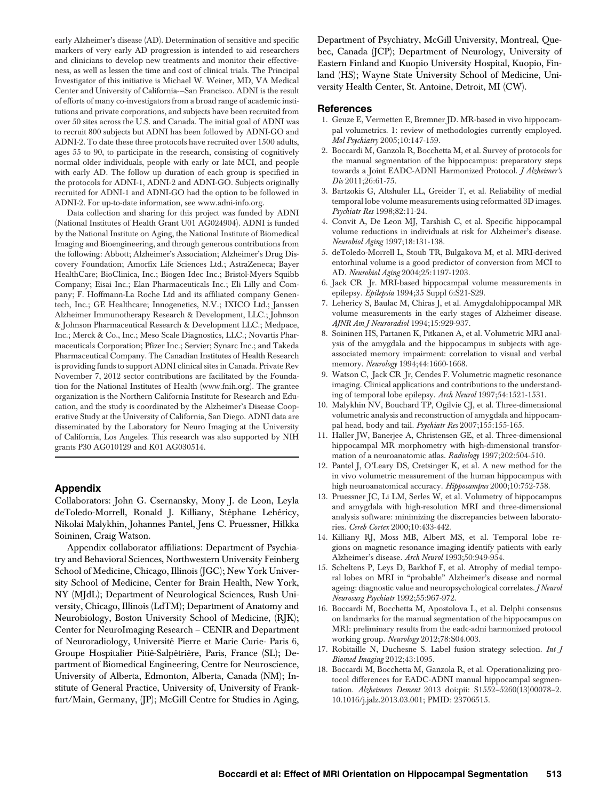early Alzheimer's disease (AD). Determination of sensitive and specific markers of very early AD progression is intended to aid researchers and clinicians to develop new treatments and monitor their effectiveness, as well as lessen the time and cost of clinical trials. The Principal Investigator of this initiative is Michael W. Weiner, MD, VA Medical Center and University of California-—San Francisco. ADNI is the result of efforts of many co-investigators from a broad range of academic institutions and private corporations, and subjects have been recruited from over 50 sites across the U.S. and Canada. The initial goal of ADNI was to recruit 800 subjects but ADNI has been followed by ADNI-GO and ADNI-2. To date these three protocols have recruited over 1500 adults, ages 55 to 90, to participate in the research, consisting of cognitively normal older individuals, people with early or late MCI, and people with early AD. The follow up duration of each group is specified in the protocols for ADNI-1, ADNI-2 and ADNI-GO. Subjects originally recruited for ADNI-1 and ADNI-GO had the option to be followed in ADNI-2. For up-to-date information, see www.adni-info.org.

Data collection and sharing for this project was funded by ADNI (National Institutes of Health Grant U01 AG024904). ADNI is funded by the National Institute on Aging, the National Institute of Biomedical Imaging and Bioengineering, and through generous contributions from the following: Abbott; Alzheimer's Association; Alzheimer's Drug Discovery Foundation; Amorfix Life Sciences Ltd.; AstraZeneca; Bayer HealthCare; BioClinica, Inc.; Biogen Idec Inc.; Bristol-Myers Squibb Company; Eisai Inc.; Elan Pharmaceuticals Inc.; Eli Lilly and Company; F. Hoffmann-La Roche Ltd and its affiliated company Genentech, Inc.; GE Healthcare; Innogenetics, N.V.; IXICO Ltd.; Janssen Alzheimer Immunotherapy Research & Development, LLC.; Johnson & Johnson Pharmaceutical Research & Development LLC.; Medpace, Inc.; Merck & Co., Inc.; Meso Scale Diagnostics, LLC.; Novartis Pharmaceuticals Corporation; Pfizer Inc.; Servier; Synarc Inc.; and Takeda Pharmaceutical Company. The Canadian Institutes of Health Research is providing funds to support ADNI clinical sites in Canada. Private Rev November 7, 2012 sector contributions are facilitated by the Foundation for the National Institutes of Health (www.fnih.org). The grantee organization is the Northern California Institute for Research and Education, and the study is coordinated by the Alzheimer's Disease Cooperative Study at the University of California, San Diego. ADNI data are disseminated by the Laboratory for Neuro Imaging at the University of California, Los Angeles. This research was also supported by NIH grants P30 AG010129 and K01 AG030514.

### **Appendix**

Collaborators: John G. Csernansky, Mony J. de Leon, Leyla deToledo-Morrell, Ronald J. Killiany, Stéphane Lehéricy, Nikolai Malykhin, Johannes Pantel, Jens C. Pruessner, Hilkka Soininen, Craig Watson.

Appendix collaborator affiliations: Department of Psychiatry and Behavioral Sciences, Northwestern University Feinberg School of Medicine, Chicago, Illinois (JGC); New York University School of Medicine, Center for Brain Health, New York, NY (MJdL); Department of Neurological Sciences, Rush University, Chicago, Illinois (LdTM); Department of Anatomy and Neurobiology, Boston University School of Medicine, (RJK); Center for NeuroImaging Research – CENIR and Department of Neuroradiology, Universite Pierre et Marie Curie- Paris 6, ´ Groupe Hospitalier Pitié-Salpétriére, Paris, France (SL); Department of Biomedical Engineering, Centre for Neuroscience, University of Alberta, Edmonton, Alberta, Canada (NM); Institute of General Practice, University of, University of Frankfurt/Main, Germany, (JP); McGill Centre for Studies in Aging,

Department of Psychiatry, McGill University, Montreal, Quebec, Canada (JCP); Department of Neurology, University of Eastern Finland and Kuopio University Hospital, Kuopio, Finland (HS); Wayne State University School of Medicine, University Health Center, St. Antoine, Detroit, MI (CW).

#### **References**

- 1. Geuze E, Vermetten E, Bremner JD. MR-based in vivo hippocampal volumetrics. 1: review of methodologies currently employed. *Mol Psychiatry* 2005;10:147-159.
- 2. Boccardi M, Ganzola R, Bocchetta M, et al. Survey of protocols for the manual segmentation of the hippocampus: preparatory steps towards a Joint EADC-ADNI Harmonized Protocol. *J Alzheimer's Dis* 2011;26:61-75.
- 3. Bartzokis G, Altshuler LL, Greider T, et al. Reliability of medial temporal lobe volume measurements using reformatted 3D images. *Psychiatr Res* 1998;82:11-24.
- 4. Convit A, De Leon MJ, Tarshish C, et al. Specific hippocampal volume reductions in individuals at risk for Alzheimer's disease. *Neurobiol Aging* 1997;18:131-138.
- 5. deToledo-Morrell L, Stoub TR, Bulgakova M, et al. MRI-derived entorhinal volume is a good predictor of conversion from MCI to AD. *Neurobiol Aging* 2004;25:1197-1203.
- 6. Jack CR Jr. MRI-based hippocampal volume measurements in epilepsy. *Epilepsia* 1994;35 Suppl 6:S21-S29.
- 7. Lehericy S, Baulac M, Chiras J, et al. Amygdalohippocampal MR volume measurements in the early stages of Alzheimer disease. *AJNR Am J Neuroradiol* 1994;15:929-937.
- 8. Soininen HS, Partanen K, Pitkanen A, et al. Volumetric MRI analysis of the amygdala and the hippocampus in subjects with ageassociated memory impairment: correlation to visual and verbal memory. *Neurology* 1994;44:1660-1668.
- 9. Watson C, Jack CR Jr, Cendes F. Volumetric magnetic resonance imaging. Clinical applications and contributions to the understanding of temporal lobe epilepsy. *Arch Neurol* 1997;54:1521-1531.
- 10. Malykhin NV, Bouchard TP, Ogilvie CJ, et al. Three-dimensional volumetric analysis and reconstruction of amygdala and hippocampal head, body and tail. *Psychiatr Res* 2007;155:155-165.
- 11. Haller JW, Banerjee A, Christensen GE, et al. Three-dimensional hippocampal MR morphometry with high-dimensional transformation of a neuroanatomic atlas. *Radiology* 1997;202:504-510.
- 12. Pantel J, O'Leary DS, Cretsinger K, et al. A new method for the in vivo volumetric measurement of the human hippocampus with high neuroanatomical accuracy. *Hippocampus* 2000;10:752-758.
- 13. Pruessner JC, Li LM, Serles W, et al. Volumetry of hippocampus and amygdala with high-resolution MRI and three-dimensional analysis software: minimizing the discrepancies between laboratories. *Cereb Cortex* 2000;10:433-442.
- 14. Killiany RJ, Moss MB, Albert MS, et al. Temporal lobe regions on magnetic resonance imaging identify patients with early Alzheimer's disease. *Arch Neurol* 1993;50:949-954.
- 15. Scheltens P, Leys D, Barkhof F, et al. Atrophy of medial temporal lobes on MRI in "probable" Alzheimer's disease and normal ageing: diagnostic value and neuropsychological correlates. *J Neurol Neurosurg Psychiatr* 1992;55:967-972.
- 16. Boccardi M, Bocchetta M, Apostolova L, et al. Delphi consensus on landmarks for the manual segmentation of the hippocampus on MRI: preliminary results from the eadc-adni harmonized protocol working group. *Neurology* 2012;78:S04.003.
- 17. Robitaille N, Duchesne S. Label fusion strategy selection. *Int J Biomed Imaging* 2012;43:1095.
- 18. Boccardi M, Bocchetta M, Ganzola R, et al. Operationalizing protocol differences for EADC-ADNI manual hippocampal segmentation. *Alzheimers Dement* 2013 doi:pii: S1552–5260(13)00078–2. 10.1016/j.jalz.2013.03.001; PMID: 23706515.